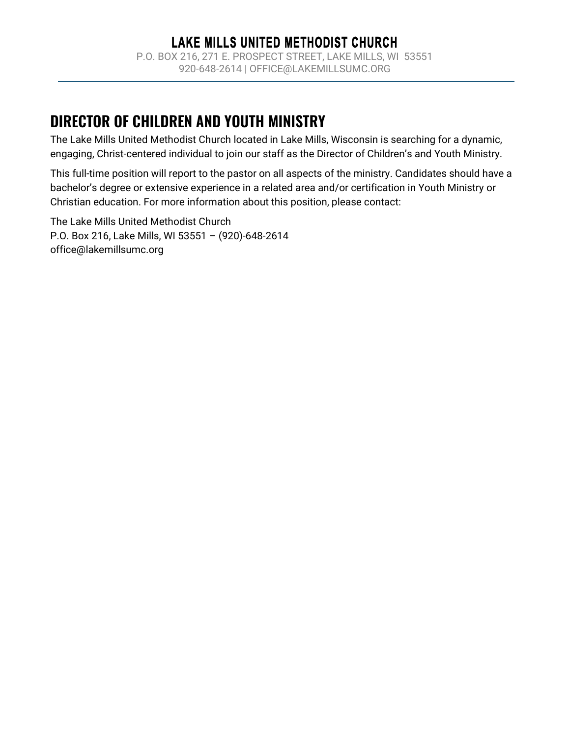# DIRECTOR OF CHILDREN AND YOUTH MINISTRY

The Lake Mills United Methodist Church located in Lake Mills, Wisconsin is searching for a dynamic, engaging, Christ-centered individual to join our staff as the Director of Children's and Youth Ministry.

This full-time position will report to the pastor on all aspects of the ministry. Candidates should have a bachelor's degree or extensive experience in a related area and/or certification in Youth Ministry or Christian education. For more information about this position, please contact:

The Lake Mills United Methodist Church P.O. Box 216, Lake Mills, WI 53551 – (920)-648-2614 office@lakemillsumc.org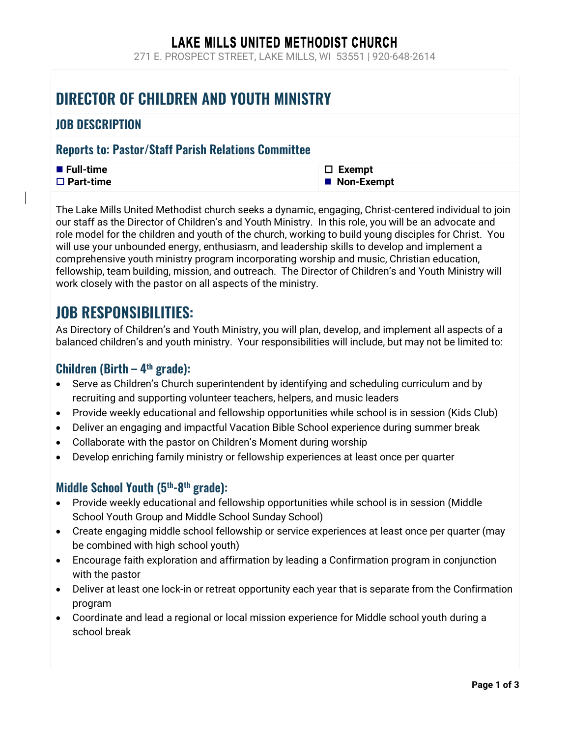### LAKE MILLS UNITED METHODIST CHURCH

271 E. PROSPECT STREET, LAKE MILLS, WI 53551 | 920-648-2614

## DIRECTOR OF CHILDREN AND YOUTH MINISTRY

### JOB DESCRIPTION

### Reports to: Pastor/Staff Parish Relations Committee

| ■ Full-time         | $\Box$ Exempt |
|---------------------|---------------|
| $\square$ Part-time | ■ Non-Exempt  |

The Lake Mills United Methodist church seeks a dynamic, engaging, Christ-centered individual to join our staff as the Director of Children's and Youth Ministry. In this role, you will be an advocate and role model for the children and youth of the church, working to build young disciples for Christ. You will use your unbounded energy, enthusiasm, and leadership skills to develop and implement a comprehensive youth ministry program incorporating worship and music, Christian education, fellowship, team building, mission, and outreach. The Director of Children's and Youth Ministry will work closely with the pastor on all aspects of the ministry.

## JOB RESPONSIBILITIES:

As Directory of Children's and Youth Ministry, you will plan, develop, and implement all aspects of a balanced children's and youth ministry. Your responsibilities will include, but may not be limited to:

### **Children (Birth – 4th grade):**

- Serve as Children's Church superintendent by identifying and scheduling curriculum and by recruiting and supporting volunteer teachers, helpers, and music leaders
- Provide weekly educational and fellowship opportunities while school is in session (Kids Club)
- Deliver an engaging and impactful Vacation Bible School experience during summer break
- Collaborate with the pastor on Children's Moment during worship
- Develop enriching family ministry or fellowship experiences at least once per quarter

### Middle School Youth (5<sup>th</sup>-8<sup>th</sup> grade):

- Provide weekly educational and fellowship opportunities while school is in session (Middle School Youth Group and Middle School Sunday School)
- Create engaging middle school fellowship or service experiences at least once per quarter (may be combined with high school youth)
- Encourage faith exploration and affirmation by leading a Confirmation program in conjunction with the pastor
- Deliver at least one lock-in or retreat opportunity each year that is separate from the Confirmation program
- Coordinate and lead a regional or local mission experience for Middle school youth during a school break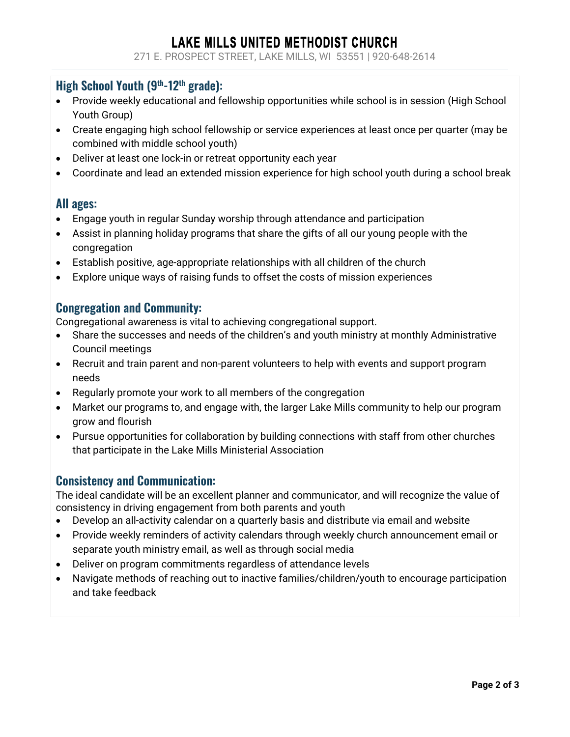### LAKE MILLS UNITED METHODIST CHURCH

271 E. PROSPECT STREET, LAKE MILLS, WI 53551 | 920-648-2614

### High School Youth (9th-12th grade):

- Provide weekly educational and fellowship opportunities while school is in session (High School Youth Group)
- Create engaging high school fellowship or service experiences at least once per quarter (may be combined with middle school youth)
- Deliver at least one lock-in or retreat opportunity each year
- Coordinate and lead an extended mission experience for high school youth during a school break

#### All ages:

- Engage youth in regular Sunday worship through attendance and participation
- Assist in planning holiday programs that share the gifts of all our young people with the congregation
- Establish positive, age-appropriate relationships with all children of the church
- Explore unique ways of raising funds to offset the costs of mission experiences

### Congregation and Community:

Congregational awareness is vital to achieving congregational support.

- Share the successes and needs of the children's and youth ministry at monthly Administrative Council meetings
- Recruit and train parent and non-parent volunteers to help with events and support program needs
- Regularly promote your work to all members of the congregation
- Market our programs to, and engage with, the larger Lake Mills community to help our program grow and flourish
- Pursue opportunities for collaboration by building connections with staff from other churches that participate in the Lake Mills Ministerial Association

#### Consistency and Communication:

The ideal candidate will be an excellent planner and communicator, and will recognize the value of consistency in driving engagement from both parents and youth

- Develop an all-activity calendar on a quarterly basis and distribute via email and website
- Provide weekly reminders of activity calendars through weekly church announcement email or separate youth ministry email, as well as through social media
- Deliver on program commitments regardless of attendance levels
- Navigate methods of reaching out to inactive families/children/youth to encourage participation and take feedback